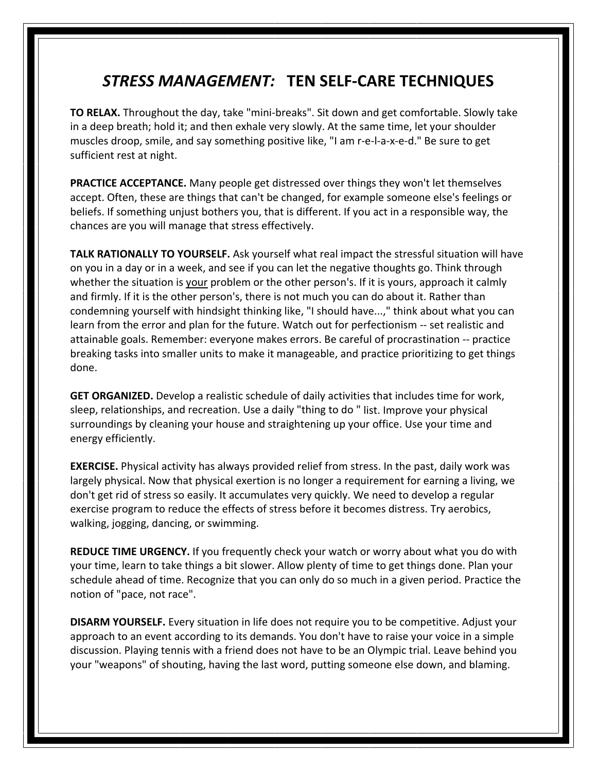## *STRESS MANAGEMENT:* **TEN SELF‐CARE TECHNIQUES**

**TO RELAX.** Throughout the day, take "mini‐breaks". Sit down and get comfortable. Slowly take in a deep breath; hold it; and then exhale very slowly. At the same time, let your shoulder muscles droop, smile, and say something positive like, "I am r-e-l-a-x-e-d." Be sure to get sufficient rest at night.

**PRACTICE ACCEPTANCE.** Many people get distressed over things they won't let themselves accept. Often, these are things that can't be changed, for example someone else's feelings or beliefs. If something unjust bothers you, that is different. If you act in a responsible way, the chances are you will manage that stress effectively.

**TALK RATIONALLY TO YOURSELF.** Ask yourself what real impact the stressful situation will have on you in a day or in a week, and see if you can let the negative thoughts go. Think through whether the situation is your problem or the other person's. If it is yours, approach it calmly and firmly. If it is the other person's, there is not much you can do about it. Rather than condemning yourself with hindsight thinking like, "I should have...," think about what you can learn from the error and plan for the future. Watch out for perfectionism -- set realistic and attainable goals. Remember: everyone makes errors. Be careful of procrastination ‐‐ practice breaking tasks into smaller units to make it manageable, and practice prioritizing to get things done.

**GET ORGANIZED.** Develop a realistic schedule of daily activities that includes time for work, sleep, relationships, and recreation. Use a daily "thing to do " list. Improve your physical surroundings by cleaning your house and straightening up your office. Use your time and energy efficiently.

**EXERCISE.** Physical activity has always provided relief from stress. In the past, daily work was largely physical. Now that physical exertion is no longer a requirement for earning a living, we don't get rid of stress so easily. It accumulates very quickly. We need to develop a regular exercise program to reduce the effects of stress before it becomes distress. Try aerobics, walking, jogging, dancing, or swimming.

**REDUCE TIME URGENCY.** If you frequently check your watch or worry about what you do with your time, learn to take things a bit slower. Allow plenty of time to get things done. Plan your schedule ahead of time. Recognize that you can only do so much in a given period. Practice the notion of "pace, not race".

**DISARM YOURSELF.** Every situation in life does not require you to be competitive. Adjust your approach to an event according to its demands. You don't have to raise your voice in a simple discussion. Playing tennis with a friend does not have to be an Olympic trial. Leave behind you your "weapons" of shouting, having the last word, putting someone else down, and blaming.